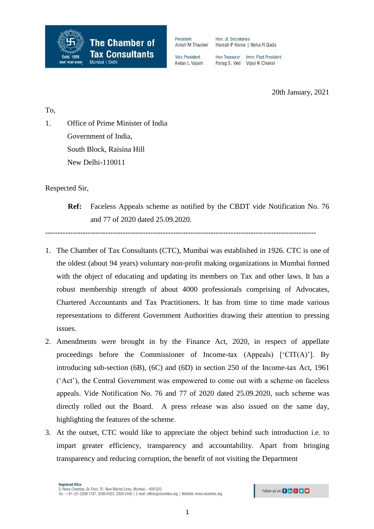

Hon. Jt. Secretaries Haresh P Kenia | Neha R Gada

**Vice President** Ketan L Vaiani Hon Treasurer Imm. Past President Parag S. Ved Vipul K Choksi

20th January, 2021

To,

1. Office of Prime Minister of India Government of India, South Block, Raisina Hill New Delhi-110011

Respected Sir,

**Ref:** Faceless Appeals scheme as notified by the CBDT vide Notification No. 76 and 77 of 2020 dated 25.09.2020.

------------------------------------------------------------------------------------------------------------

- 1. The Chamber of Tax Consultants (CTC), Mumbai was established in 1926. CTC is one of the oldest (about 94 years) voluntary non-profit making organizations in Mumbai formed with the object of educating and updating its members on Tax and other laws. It has a robust membership strength of about 4000 professionals comprising of Advocates, Chartered Accountants and Tax Practitioners. It has from time to time made various representations to different Government Authorities drawing their attention to pressing issues.
- 2. Amendments were brought in by the Finance Act, 2020, in respect of appellate proceedings before the Commissioner of Income-tax (Appeals) ['CIT(A)']. By introducing sub-section (6B), (6C) and (6D) in section 250 of the Income-tax Act, 1961 ('Act'), the Central Government was empowered to come out with a scheme on faceless appeals. Vide Notification No. 76 and 77 of 2020 dated 25.09.2020, such scheme was directly rolled out the Board. A press release was also issued on the same day, highlighting the features of the scheme.
- 3. At the outset, CTC would like to appreciate the object behind such introduction i.e. to impart greater efficiency, transparency and accountability. Apart from bringing transparency and reducing corruption, the benefit of not visiting the Department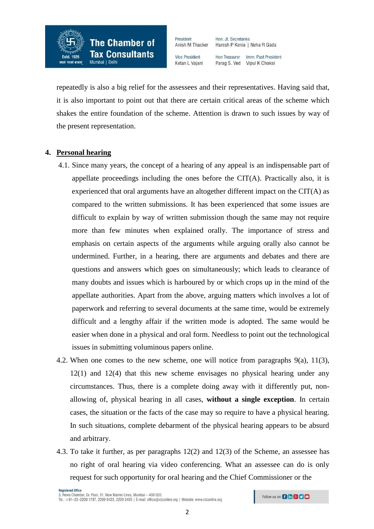

**Vice President** Ketan L Vaiani Hon Treasurer Imm. Past President Parag S. Ved Vipul K Choksi

Haresh P Kenia | Neha R Gada

Hon. Jt. Secretaries

repeatedly is also a big relief for the assessees and their representatives. Having said that, it is also important to point out that there are certain critical areas of the scheme which shakes the entire foundation of the scheme. Attention is drawn to such issues by way of the present representation.

## **4. Personal hearing**

- 4.1. Since many years, the concept of a hearing of any appeal is an indispensable part of appellate proceedings including the ones before the  $CIT(A)$ . Practically also, it is experienced that oral arguments have an altogether different impact on the CIT(A) as compared to the written submissions. It has been experienced that some issues are difficult to explain by way of written submission though the same may not require more than few minutes when explained orally. The importance of stress and emphasis on certain aspects of the arguments while arguing orally also cannot be undermined. Further, in a hearing, there are arguments and debates and there are questions and answers which goes on simultaneously; which leads to clearance of many doubts and issues which is harboured by or which crops up in the mind of the appellate authorities. Apart from the above, arguing matters which involves a lot of paperwork and referring to several documents at the same time, would be extremely difficult and a lengthy affair if the written mode is adopted. The same would be easier when done in a physical and oral form. Needless to point out the technological issues in submitting voluminous papers online.
- 4.2. When one comes to the new scheme, one will notice from paragraphs 9(a), 11(3), 12(1) and 12(4) that this new scheme envisages no physical hearing under any circumstances. Thus, there is a complete doing away with it differently put, nonallowing of, physical hearing in all cases, **without a single exception**. In certain cases, the situation or the facts of the case may so require to have a physical hearing. In such situations, complete debarment of the physical hearing appears to be absurd and arbitrary.
- 4.3. To take it further, as per paragraphs 12(2) and 12(3) of the Scheme, an assessee has no right of oral hearing via video conferencing. What an assessee can do is only request for such opportunity for oral hearing and the Chief Commissioner or the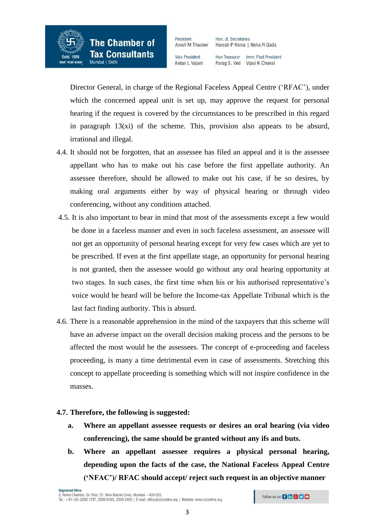

Hon. Jt. Secretaries Haresh P Kenia | Neha R Gada

**Vice President** Ketan L Vaiani Hon Treasurer Imm. Past President Parag S. Ved Vipul K Choksi

Director General, in charge of the Regional Faceless Appeal Centre ('RFAC'), under which the concerned appeal unit is set up, may approve the request for personal hearing if the request is covered by the circumstances to be prescribed in this regard in paragraph 13(xi) of the scheme. This, provision also appears to be absurd, irrational and illegal.

- 4.4. It should not be forgotten, that an assessee has filed an appeal and it is the assessee appellant who has to make out his case before the first appellate authority. An assessee therefore, should be allowed to make out his case, if he so desires, by making oral arguments either by way of physical hearing or through video conferencing, without any conditions attached.
- 4.5. It is also important to bear in mind that most of the assessments except a few would be done in a faceless manner and even in such faceless assessment, an assessee will not get an opportunity of personal hearing except for very few cases which are yet to be prescribed. If even at the first appellate stage, an opportunity for personal hearing is not granted, then the assessee would go without any oral hearing opportunity at two stages. In such cases, the first time when his or his authorised representative's voice would be heard will be before the Income-tax Appellate Tribunal which is the last fact finding authority. This is absurd.
- 4.6. There is a reasonable apprehension in the mind of the taxpayers that this scheme will have an adverse impact on the overall decision making process and the persons to be affected the most would be the assessees. The concept of e-proceeding and faceless proceeding, is many a time detrimental even in case of assessments. Stretching this concept to appellate proceeding is something which will not inspire confidence in the masses.

# **4.7. Therefore, the following is suggested:**

- **a. Where an appellant assessee requests or desires an oral hearing (via video conferencing), the same should be granted without any ifs and buts.**
- **b. Where an appellant assessee requires a physical personal hearing, depending upon the facts of the case, the National Faceless Appeal Centre ('NFAC')/ RFAC should accept/ reject such request in an objective manner**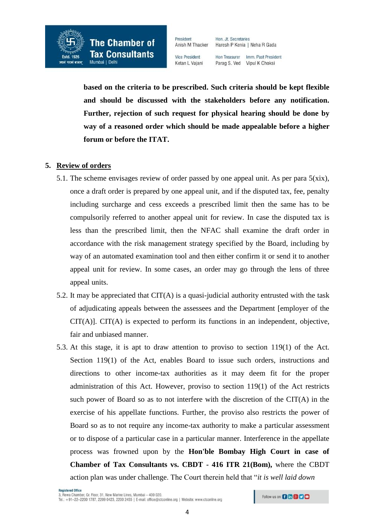

President

Hon Treasurer Imm. Past President Parag S. Ved Vipul K Choksi

**based on the criteria to be prescribed. Such criteria should be kept flexible and should be discussed with the stakeholders before any notification. Further, rejection of such request for physical hearing should be done by way of a reasoned order which should be made appealable before a higher forum or before the ITAT.** 

## **5. Review of orders**

- 5.1. The scheme envisages review of order passed by one appeal unit. As per para  $5(xix)$ , once a draft order is prepared by one appeal unit, and if the disputed tax, fee, penalty including surcharge and cess exceeds a prescribed limit then the same has to be compulsorily referred to another appeal unit for review. In case the disputed tax is less than the prescribed limit, then the NFAC shall examine the draft order in accordance with the risk management strategy specified by the Board, including by way of an automated examination tool and then either confirm it or send it to another appeal unit for review. In some cases, an order may go through the lens of three appeal units.
- 5.2. It may be appreciated that CIT(A) is a quasi-judicial authority entrusted with the task of adjudicating appeals between the assessees and the Department [employer of the CIT(A)]. CIT(A) is expected to perform its functions in an independent, objective, fair and unbiased manner.
- 5.3. At this stage, it is apt to draw attention to proviso to section 119(1) of the Act. Section 119(1) of the Act, enables Board to issue such orders, instructions and directions to other income-tax authorities as it may deem fit for the proper administration of this Act. However, proviso to section 119(1) of the Act restricts such power of Board so as to not interfere with the discretion of the CIT(A) in the exercise of his appellate functions. Further, the proviso also restricts the power of Board so as to not require any income-tax authority to make a particular assessment or to dispose of a particular case in a particular manner. Interference in the appellate process was frowned upon by the **Hon'ble Bombay High Court in case of Chamber of Tax Consultants vs. CBDT - 416 ITR 21(Bom),** where the CBDT action plan was under challenge. The Court therein held that "*it is well laid down*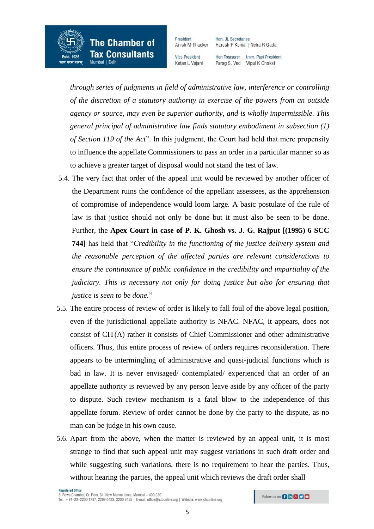

**Vice President** Ketan L Vaiani Haresh P Kenia | Neha R Gada Hon Treasurer Imm. Past President

Parag S. Ved Vipul K Choksi

Hon. Jt. Secretaries

*through series of judgments in field of administrative law, interference or controlling of the discretion of a statutory authority in exercise of the powers from an outside agency or source, may even be superior authority, and is wholly impermissible. This general principal of administrative law finds statutory embodiment in subsection (1) of Section 119 of the Act*". In this judgment, the Court had held that mere propensity to influence the appellate Commissioners to pass an order in a particular manner so as to achieve a greater target of disposal would not stand the test of law.

- 5.4. The very fact that order of the appeal unit would be reviewed by another officer of the Department ruins the confidence of the appellant assessees, as the apprehension of compromise of independence would loom large. A basic postulate of the rule of law is that justice should not only be done but it must also be seen to be done. Further, the **Apex Court in case of P. K. Ghosh vs. J. G. Rajput [(1995) 6 SCC 744]** has held that "*Credibility in the functioning of the justice delivery system and the reasonable perception of the affected parties are relevant considerations to ensure the continuance of public confidence in the credibility and impartiality of the judiciary. This is necessary not only for doing justice but also for ensuring that justice is seen to be done.*"
- 5.5. The entire process of review of order is likely to fall foul of the above legal position, even if the jurisdictional appellate authority is NFAC. NFAC, it appears, does not consist of CIT(A) rather it consists of Chief Commissioner and other administrative officers. Thus, this entire process of review of orders requires reconsideration. There appears to be intermingling of administrative and quasi-judicial functions which is bad in law. It is never envisaged/ contemplated/ experienced that an order of an appellate authority is reviewed by any person leave aside by any officer of the party to dispute. Such review mechanism is a fatal blow to the independence of this appellate forum. Review of order cannot be done by the party to the dispute, as no man can be judge in his own cause.
- 5.6. Apart from the above, when the matter is reviewed by an appeal unit, it is most strange to find that such appeal unit may suggest variations in such draft order and while suggesting such variations, there is no requirement to hear the parties. Thus, without hearing the parties, the appeal unit which reviews the draft order shall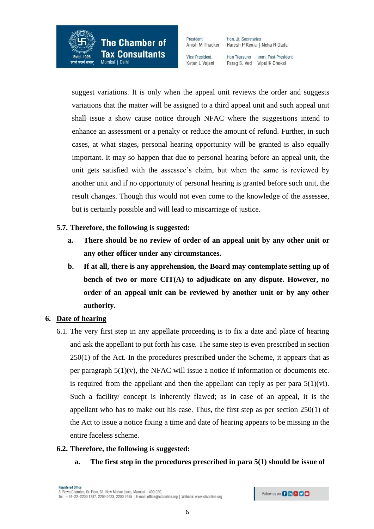**The Chamber of Tax Consultants** 

Estd. 1926

परमं बलम

President Anish M Thacker

**Vice President** Ketan L Vaiani

Hon. Jt. Secretaries Haresh P Kenia | Neha R Gada

Hon Treasurer Imm. Past President Parag S. Ved Vipul K Choksi

suggest variations. It is only when the appeal unit reviews the order and suggests variations that the matter will be assigned to a third appeal unit and such appeal unit shall issue a show cause notice through NFAC where the suggestions intend to enhance an assessment or a penalty or reduce the amount of refund. Further, in such cases, at what stages, personal hearing opportunity will be granted is also equally important. It may so happen that due to personal hearing before an appeal unit, the unit gets satisfied with the assessee's claim, but when the same is reviewed by another unit and if no opportunity of personal hearing is granted before such unit, the result changes. Though this would not even come to the knowledge of the assessee, but is certainly possible and will lead to miscarriage of justice.

# **5.7. Therefore, the following is suggested:**

- **a. There should be no review of order of an appeal unit by any other unit or any other officer under any circumstances.**
- **b. If at all, there is any apprehension, the Board may contemplate setting up of bench of two or more CIT(A) to adjudicate on any dispute. However, no order of an appeal unit can be reviewed by another unit or by any other authority.**

# **6. Date of hearing**

6.1. The very first step in any appellate proceeding is to fix a date and place of hearing and ask the appellant to put forth his case. The same step is even prescribed in section 250(1) of the Act. In the procedures prescribed under the Scheme, it appears that as per paragraph  $5(1)(v)$ , the NFAC will issue a notice if information or documents etc. is required from the appellant and then the appellant can reply as per para  $5(1)(vi)$ . Such a facility/ concept is inherently flawed; as in case of an appeal, it is the appellant who has to make out his case. Thus, the first step as per section 250(1) of the Act to issue a notice fixing a time and date of hearing appears to be missing in the entire faceless scheme.

### **6.2. Therefore, the following is suggested:**

**a. The first step in the procedures prescribed in para 5(1) should be issue of**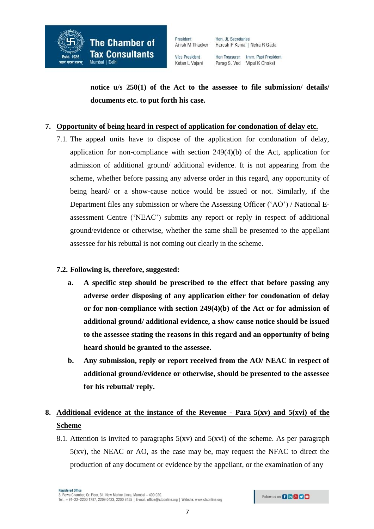

Hon Treasurer Imm. Past President Parag S. Ved Vipul K Choksi

**notice u/s 250(1) of the Act to the assessee to file submission/ details/ documents etc. to put forth his case.** 

### **7. Opportunity of being heard in respect of application for condonation of delay etc.**

7.1. The appeal units have to dispose of the application for condonation of delay, application for non-compliance with section 249(4)(b) of the Act, application for admission of additional ground/ additional evidence. It is not appearing from the scheme, whether before passing any adverse order in this regard, any opportunity of being heard/ or a show-cause notice would be issued or not. Similarly, if the Department files any submission or where the Assessing Officer ('AO') / National Eassessment Centre ('NEAC') submits any report or reply in respect of additional ground/evidence or otherwise, whether the same shall be presented to the appellant assessee for his rebuttal is not coming out clearly in the scheme.

# **7.2. Following is, therefore, suggested:**

- **a. A specific step should be prescribed to the effect that before passing any adverse order disposing of any application either for condonation of delay or for non-compliance with section 249(4)(b) of the Act or for admission of additional ground/ additional evidence, a show cause notice should be issued to the assessee stating the reasons in this regard and an opportunity of being heard should be granted to the assessee.**
- **b. Any submission, reply or report received from the AO/ NEAC in respect of additional ground/evidence or otherwise, should be presented to the assessee for his rebuttal/ reply.**

# **8. Additional evidence at the instance of the Revenue - Para 5(xv) and 5(xvi) of the Scheme**

8.1. Attention is invited to paragraphs  $5(xv)$  and  $5(xvi)$  of the scheme. As per paragraph 5(xv), the NEAC or AO, as the case may be, may request the NFAC to direct the production of any document or evidence by the appellant, or the examination of any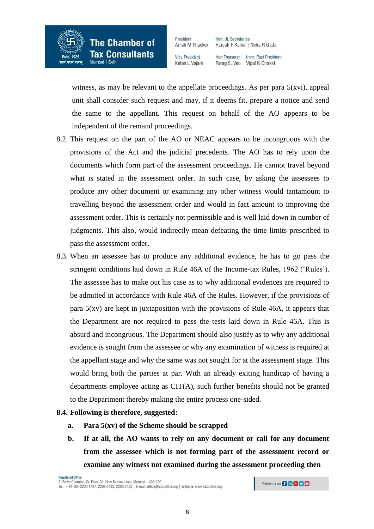

Hon. Jt. Secretaries Haresh P Kenia | Neha R Gada

**Vice President** Ketan L Vaiani Hon Treasurer Imm. Past President Parag S. Ved Vipul K Choksi

witness, as may be relevant to the appellate proceedings. As per para  $5(xvi)$ , appeal unit shall consider such request and may, if it deems fit, prepare a notice and send the same to the appellant. This request on behalf of the AO appears to be independent of the remand proceedings.

- 8.2. This request on the part of the AO or NEAC appears to be incongruous with the provisions of the Act and the judicial precedents. The AO has to rely upon the documents which form part of the assessment proceedings. He cannot travel beyond what is stated in the assessment order. In such case, by asking the assessees to produce any other document or examining any other witness would tantamount to travelling beyond the assessment order and would in fact amount to improving the assessment order. This is certainly not permissible and is well laid down in number of judgments. This also, would indirectly mean defeating the time limits prescribed to pass the assessment order.
- 8.3. When an assessee has to produce any additional evidence, he has to go pass the stringent conditions laid down in Rule 46A of the Income-tax Rules, 1962 ('Rules'). The assessee has to make out his case as to why additional evidences are required to be admitted in accordance with Rule 46A of the Rules. However, if the provisions of para  $5(xy)$  are kept in juxtaposition with the provisions of Rule 46A, it appears that the Department are not required to pass the tests laid down in Rule 46A. This is absurd and incongruous. The Department should also justify as to why any additional evidence is sought from the assessee or why any examination of witness is required at the appellant stage and why the same was not sought for at the assessment stage. This would bring both the parties at par. With an already exiting handicap of having a departments employee acting as CIT(A), such further benefits should not be granted to the Department thereby making the entire process one-sided.

### **8.4. Following is therefore, suggested:**

- **a. Para 5(xv) of the Scheme should be scrapped**
- **b. If at all, the AO wants to rely on any document or call for any document from the assessee which is not forming part of the assessment record or examine any witness not examined during the assessment proceeding then**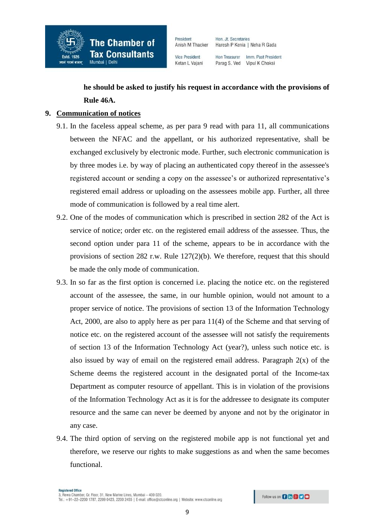

Hon Treasurer Imm. Past President Parag S. Ved Vipul K Choksi

# **he should be asked to justify his request in accordance with the provisions of Rule 46A.**

# **9. Communication of notices**

- 9.1. In the faceless appeal scheme, as per para 9 read with para 11, all communications between the NFAC and the appellant, or his authorized representative, shall be exchanged exclusively by electronic mode. Further, such electronic communication is by three modes i.e. by way of placing an authenticated copy thereof in the assessee's registered account or sending a copy on the assessee's or authorized representative's registered email address or uploading on the assessees mobile app. Further, all three mode of communication is followed by a real time alert.
- 9.2. One of the modes of communication which is prescribed in section 282 of the Act is service of notice; order etc. on the registered email address of the assessee. Thus, the second option under para 11 of the scheme, appears to be in accordance with the provisions of section 282 r.w. Rule 127(2)(b). We therefore, request that this should be made the only mode of communication.
- 9.3. In so far as the first option is concerned i.e. placing the notice etc. on the registered account of the assessee, the same, in our humble opinion, would not amount to a proper service of notice. The provisions of section 13 of the Information Technology Act, 2000, are also to apply here as per para 11(4) of the Scheme and that serving of notice etc. on the registered account of the assessee will not satisfy the requirements of section 13 of the Information Technology Act (year?), unless such notice etc. is also issued by way of email on the registered email address. Paragraph  $2(x)$  of the Scheme deems the registered account in the designated portal of the Income-tax Department as computer resource of appellant. This is in violation of the provisions of the Information Technology Act as it is for the addressee to designate its computer resource and the same can never be deemed by anyone and not by the originator in any case.
- 9.4. The third option of serving on the registered mobile app is not functional yet and therefore, we reserve our rights to make suggestions as and when the same becomes functional.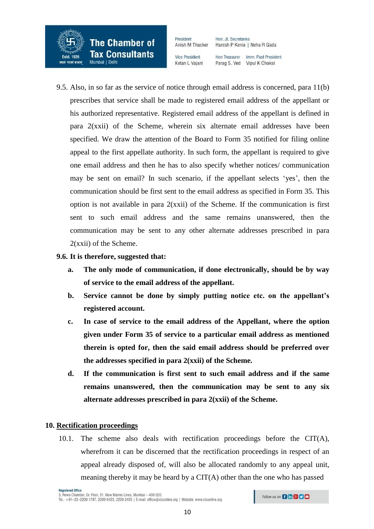

Hon. Jt. Secretaries Haresh P Kenia | Neha R Gada

**Vice President** Ketan L Vaiani Hon Treasurer Imm. Past President Parag S. Ved Vipul K Choksi

9.5. Also, in so far as the service of notice through email address is concerned, para 11(b) prescribes that service shall be made to registered email address of the appellant or his authorized representative. Registered email address of the appellant is defined in para 2(xxii) of the Scheme, wherein six alternate email addresses have been specified. We draw the attention of the Board to Form 35 notified for filing online appeal to the first appellate authority. In such form, the appellant is required to give one email address and then he has to also specify whether notices/ communication may be sent on email? In such scenario, if the appellant selects 'yes', then the communication should be first sent to the email address as specified in Form 35. This option is not available in para 2(xxii) of the Scheme. If the communication is first sent to such email address and the same remains unanswered, then the communication may be sent to any other alternate addresses prescribed in para 2(xxii) of the Scheme.

## **9.6. It is therefore, suggested that:**

- **a. The only mode of communication, if done electronically, should be by way of service to the email address of the appellant.**
- **b. Service cannot be done by simply putting notice etc. on the appellant's registered account.**
- **c. In case of service to the email address of the Appellant, where the option given under Form 35 of service to a particular email address as mentioned therein is opted for, then the said email address should be preferred over the addresses specified in para 2(xxii) of the Scheme.**
- **d. If the communication is first sent to such email address and if the same remains unanswered, then the communication may be sent to any six alternate addresses prescribed in para 2(xxii) of the Scheme.**

# **10. Rectification proceedings**

10.1. The scheme also deals with rectification proceedings before the CIT(A), wherefrom it can be discerned that the rectification proceedings in respect of an appeal already disposed of, will also be allocated randomly to any appeal unit, meaning thereby it may be heard by a CIT(A) other than the one who has passed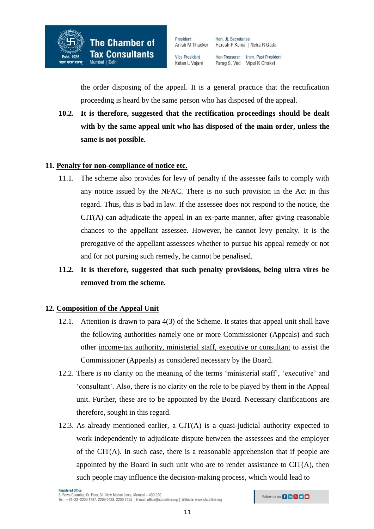

Hon Treasurer Imm. Past President Parag S. Ved Vipul K Choksi

the order disposing of the appeal. It is a general practice that the rectification proceeding is heard by the same person who has disposed of the appeal.

**10.2. It is therefore, suggested that the rectification proceedings should be dealt with by the same appeal unit who has disposed of the main order, unless the same is not possible.** 

## **11. Penalty for non-compliance of notice etc.**

- 11.1. The scheme also provides for levy of penalty if the assessee fails to comply with any notice issued by the NFAC. There is no such provision in the Act in this regard. Thus, this is bad in law. If the assessee does not respond to the notice, the CIT(A) can adjudicate the appeal in an ex-parte manner, after giving reasonable chances to the appellant assessee. However, he cannot levy penalty. It is the prerogative of the appellant assessees whether to pursue his appeal remedy or not and for not pursing such remedy, he cannot be penalised.
- **11.2. It is therefore, suggested that such penalty provisions, being ultra vires be removed from the scheme.**

### **12. Composition of the Appeal Unit**

- 12.1. Attention is drawn to para 4(3) of the Scheme. It states that appeal unit shall have the following authorities namely one or more Commissioner (Appeals) and such other income-tax authority, ministerial staff, executive or consultant to assist the Commissioner (Appeals) as considered necessary by the Board.
- 12.2. There is no clarity on the meaning of the terms 'ministerial staff', 'executive' and 'consultant'. Also, there is no clarity on the role to be played by them in the Appeal unit. Further, these are to be appointed by the Board. Necessary clarifications are therefore, sought in this regard.
- 12.3. As already mentioned earlier, a CIT(A) is a quasi-judicial authority expected to work independently to adjudicate dispute between the assessees and the employer of the CIT(A). In such case, there is a reasonable apprehension that if people are appointed by the Board in such unit who are to render assistance to CIT(A), then such people may influence the decision-making process, which would lead to